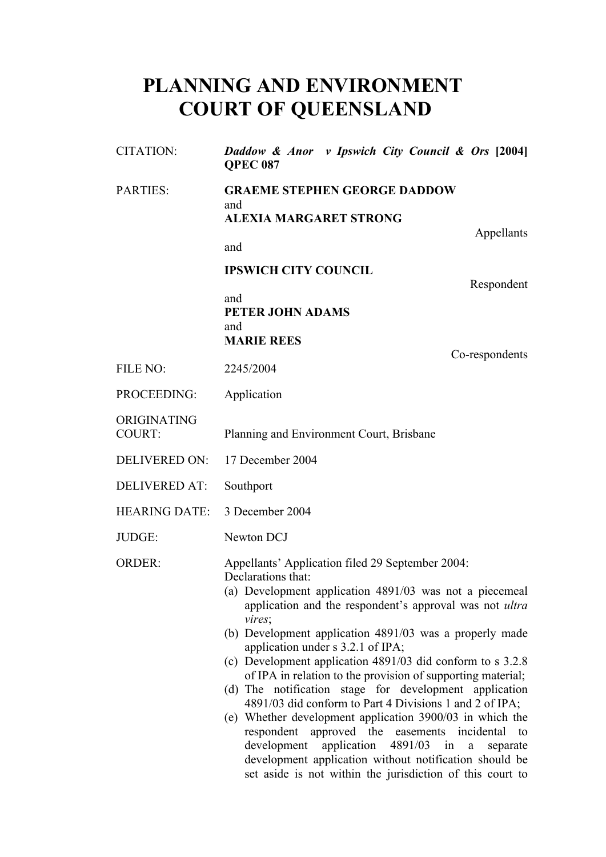# **PLANNING AND ENVIRONMENT COURT OF QUEENSLAND**

| <b>CITATION:</b>             | Daddow & Anor v Ipswich City Council & Ors [2004]<br><b>OPEC 087</b>                                                                                                                                                                                                                                                                                                                                                                                                                                                                                                                                                                                                                                                                                                                                                                                           |
|------------------------------|----------------------------------------------------------------------------------------------------------------------------------------------------------------------------------------------------------------------------------------------------------------------------------------------------------------------------------------------------------------------------------------------------------------------------------------------------------------------------------------------------------------------------------------------------------------------------------------------------------------------------------------------------------------------------------------------------------------------------------------------------------------------------------------------------------------------------------------------------------------|
| <b>PARTIES:</b>              | <b>GRAEME STEPHEN GEORGE DADDOW</b><br>and<br><b>ALEXIA MARGARET STRONG</b>                                                                                                                                                                                                                                                                                                                                                                                                                                                                                                                                                                                                                                                                                                                                                                                    |
|                              | Appellants                                                                                                                                                                                                                                                                                                                                                                                                                                                                                                                                                                                                                                                                                                                                                                                                                                                     |
|                              | and                                                                                                                                                                                                                                                                                                                                                                                                                                                                                                                                                                                                                                                                                                                                                                                                                                                            |
|                              | <b>IPSWICH CITY COUNCIL</b><br>Respondent                                                                                                                                                                                                                                                                                                                                                                                                                                                                                                                                                                                                                                                                                                                                                                                                                      |
|                              | and<br>PETER JOHN ADAMS                                                                                                                                                                                                                                                                                                                                                                                                                                                                                                                                                                                                                                                                                                                                                                                                                                        |
|                              | and<br><b>MARIE REES</b>                                                                                                                                                                                                                                                                                                                                                                                                                                                                                                                                                                                                                                                                                                                                                                                                                                       |
| FILE NO:                     | Co-respondents<br>2245/2004                                                                                                                                                                                                                                                                                                                                                                                                                                                                                                                                                                                                                                                                                                                                                                                                                                    |
| PROCEEDING:                  | Application                                                                                                                                                                                                                                                                                                                                                                                                                                                                                                                                                                                                                                                                                                                                                                                                                                                    |
| ORIGINATING<br><b>COURT:</b> | Planning and Environment Court, Brisbane                                                                                                                                                                                                                                                                                                                                                                                                                                                                                                                                                                                                                                                                                                                                                                                                                       |
| <b>DELIVERED ON:</b>         | 17 December 2004                                                                                                                                                                                                                                                                                                                                                                                                                                                                                                                                                                                                                                                                                                                                                                                                                                               |
| <b>DELIVERED AT:</b>         | Southport                                                                                                                                                                                                                                                                                                                                                                                                                                                                                                                                                                                                                                                                                                                                                                                                                                                      |
| <b>HEARING DATE:</b>         | 3 December 2004                                                                                                                                                                                                                                                                                                                                                                                                                                                                                                                                                                                                                                                                                                                                                                                                                                                |
| JUDGE:                       | Newton DCJ                                                                                                                                                                                                                                                                                                                                                                                                                                                                                                                                                                                                                                                                                                                                                                                                                                                     |
| ORDER:                       | Appellants' Application filed 29 September 2004:<br>Declarations that:<br>(a) Development application 4891/03 was not a piecemeal<br>application and the respondent's approval was not ultra<br>vires;<br>(b) Development application 4891/03 was a properly made<br>application under s 3.2.1 of IPA;<br>(c) Development application 4891/03 did conform to s 3.2.8<br>of IPA in relation to the provision of supporting material;<br>(d) The notification stage for development application<br>4891/03 did conform to Part 4 Divisions 1 and 2 of IPA;<br>(e) Whether development application 3900/03 in which the<br>respondent<br>approved the easements incidental<br>to<br>development<br>application 4891/03 in<br>a<br>separate<br>development application without notification should be<br>set aside is not within the jurisdiction of this court to |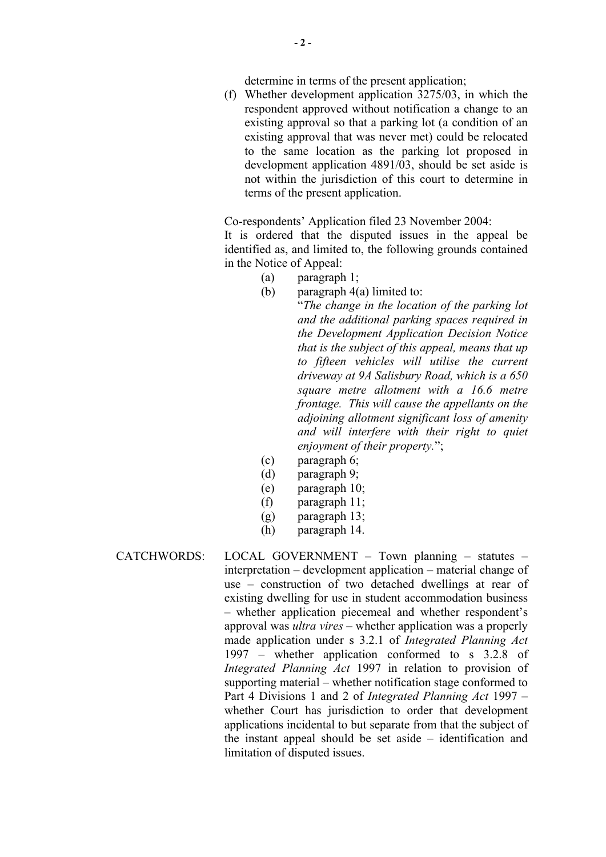determine in terms of the present application;

(f) Whether development application 3275/03, in which the respondent approved without notification a change to an existing approval so that a parking lot (a condition of an existing approval that was never met) could be relocated to the same location as the parking lot proposed in development application 4891/03, should be set aside is not within the jurisdiction of this court to determine in terms of the present application.

Co-respondents' Application filed 23 November 2004:

It is ordered that the disputed issues in the appeal be identified as, and limited to, the following grounds contained in the Notice of Appeal:

- (a) paragraph 1;
- (b) paragraph 4(a) limited to:

"*The change in the location of the parking lot and the additional parking spaces required in the Development Application Decision Notice that is the subject of this appeal, means that up to fifteen vehicles will utilise the current driveway at 9A Salisbury Road, which is a 650 square metre allotment with a 16.6 metre frontage. This will cause the appellants on the adjoining allotment significant loss of amenity and will interfere with their right to quiet enjoyment of their property.*";

- (c) paragraph 6;
- (d) paragraph 9;
- (e) paragraph 10;
- (f) paragraph 11;
- (g) paragraph 13;
- (h) paragraph 14.
- CATCHWORDS: LOCAL GOVERNMENT Town planning statutes interpretation – development application – material change of use – construction of two detached dwellings at rear of existing dwelling for use in student accommodation business – whether application piecemeal and whether respondent's approval was *ultra vires* – whether application was a properly made application under s 3.2.1 of *Integrated Planning Act* 1997 – whether application conformed to s 3.2.8 of *Integrated Planning Act* 1997 in relation to provision of supporting material – whether notification stage conformed to Part 4 Divisions 1 and 2 of *Integrated Planning Act* 1997 – whether Court has jurisdiction to order that development applications incidental to but separate from that the subject of the instant appeal should be set aside – identification and limitation of disputed issues.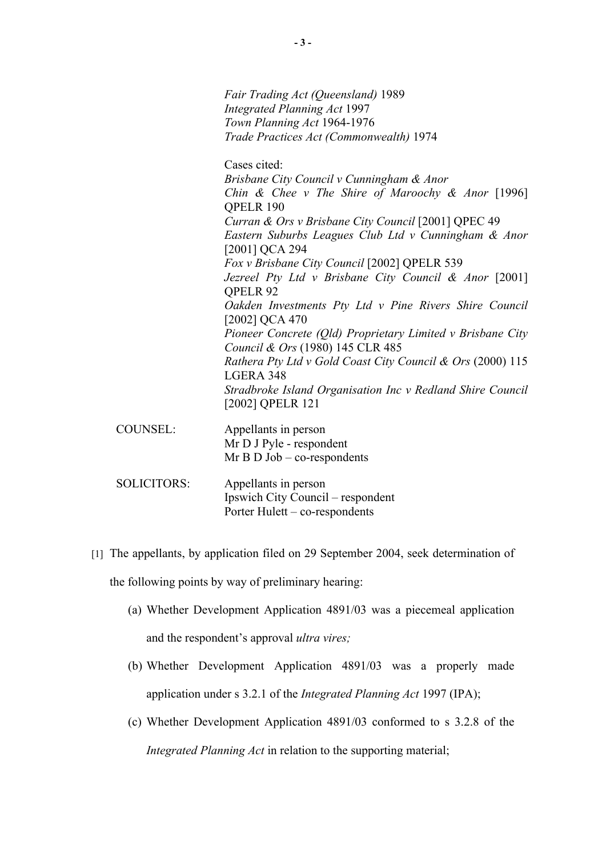|                    | Fair Trading Act (Queensland) 1989                                                             |
|--------------------|------------------------------------------------------------------------------------------------|
|                    | <b>Integrated Planning Act 1997</b>                                                            |
|                    | Town Planning Act 1964-1976                                                                    |
|                    | Trade Practices Act (Commonwealth) 1974                                                        |
|                    | Cases cited:                                                                                   |
|                    | Brisbane City Council v Cunningham & Anor                                                      |
|                    | Chin & Chee v The Shire of Maroochy & Anor $[1996]$<br>QPELR 190                               |
|                    | Curran & Ors v Brisbane City Council [2001] QPEC 49                                            |
|                    | Eastern Suburbs Leagues Club Ltd v Cunningham & Anor<br>[2001] QCA 294                         |
|                    | Fox v Brisbane City Council [2002] QPELR 539                                                   |
|                    | Jezreel Pty Ltd v Brisbane City Council & Anor [2001]<br><b>OPELR 92</b>                       |
|                    | Oakden Investments Pty Ltd v Pine Rivers Shire Council<br>[2002] QCA 470                       |
|                    | Pioneer Concrete (Old) Proprietary Limited v Brisbane City<br>Council & Ors (1980) 145 CLR 485 |
|                    | Rathera Pty Ltd v Gold Coast City Council & Ors (2000) 115<br>LGERA 348                        |
|                    | Stradbroke Island Organisation Inc v Redland Shire Council<br>[2002] QPELR 121                 |
| <b>COUNSEL:</b>    | Appellants in person                                                                           |
|                    | Mr D J Pyle - respondent<br>$Mr B D Job - co-respondents$                                      |
| <b>SOLICITORS:</b> | Appellants in person<br>Ipswich City Council – respondent<br>Porter Hulett – co-respondents    |
|                    |                                                                                                |

- [1] The appellants, by application filed on 29 September 2004, seek determination of the following points by way of preliminary hearing:
	- (a) Whether Development Application 4891/03 was a piecemeal application and the respondent's approval *ultra vires;*
	- (b) Whether Development Application 4891/03 was a properly made application under s 3.2.1 of the *Integrated Planning Act* 1997 (IPA);
	- (c) Whether Development Application 4891/03 conformed to s 3.2.8 of the *Integrated Planning Act* in relation to the supporting material;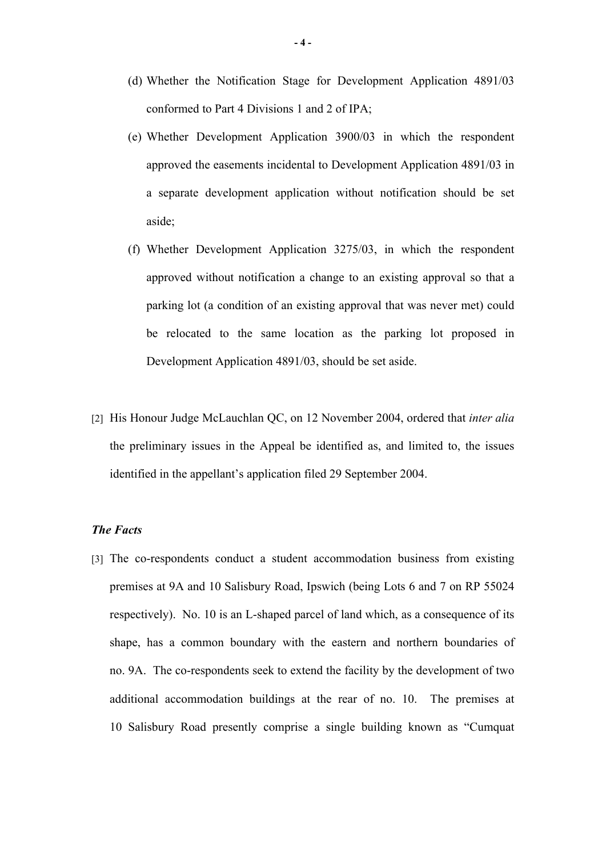- (d) Whether the Notification Stage for Development Application 4891/03 conformed to Part 4 Divisions 1 and 2 of IPA;
- (e) Whether Development Application 3900/03 in which the respondent approved the easements incidental to Development Application 4891/03 in a separate development application without notification should be set aside;
- (f) Whether Development Application 3275/03, in which the respondent approved without notification a change to an existing approval so that a parking lot (a condition of an existing approval that was never met) could be relocated to the same location as the parking lot proposed in Development Application 4891/03, should be set aside.
- [2] His Honour Judge McLauchlan QC, on 12 November 2004, ordered that *inter alia* the preliminary issues in the Appeal be identified as, and limited to, the issues identified in the appellant's application filed 29 September 2004.

### *The Facts*

[3] The co-respondents conduct a student accommodation business from existing premises at 9A and 10 Salisbury Road, Ipswich (being Lots 6 and 7 on RP 55024 respectively). No. 10 is an L-shaped parcel of land which, as a consequence of its shape, has a common boundary with the eastern and northern boundaries of no. 9A. The co-respondents seek to extend the facility by the development of two additional accommodation buildings at the rear of no. 10. The premises at 10 Salisbury Road presently comprise a single building known as "Cumquat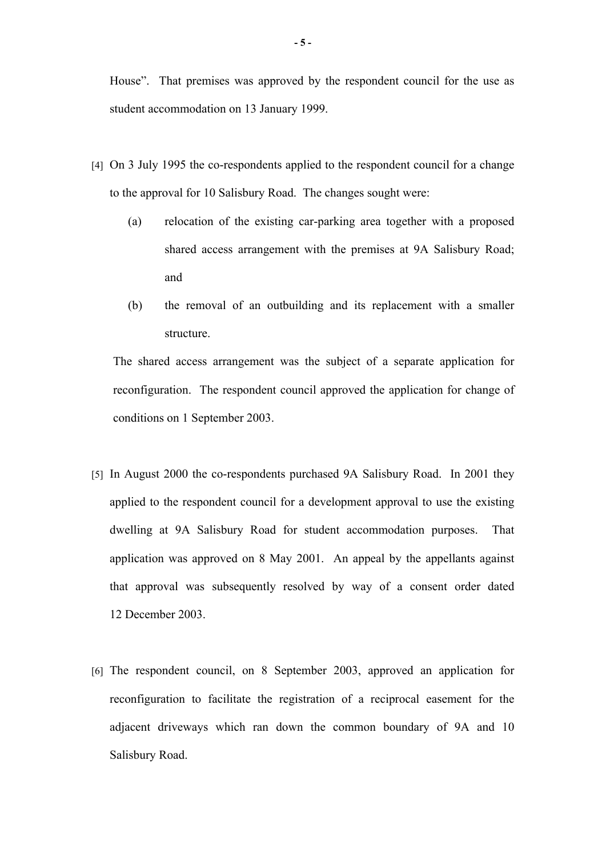House". That premises was approved by the respondent council for the use as student accommodation on 13 January 1999.

- [4] On 3 July 1995 the co-respondents applied to the respondent council for a change to the approval for 10 Salisbury Road. The changes sought were:
	- (a) relocation of the existing car-parking area together with a proposed shared access arrangement with the premises at 9A Salisbury Road; and
	- (b) the removal of an outbuilding and its replacement with a smaller structure.

The shared access arrangement was the subject of a separate application for reconfiguration. The respondent council approved the application for change of conditions on 1 September 2003.

- [5] In August 2000 the co-respondents purchased 9A Salisbury Road. In 2001 they applied to the respondent council for a development approval to use the existing dwelling at 9A Salisbury Road for student accommodation purposes. That application was approved on 8 May 2001. An appeal by the appellants against that approval was subsequently resolved by way of a consent order dated 12 December 2003.
- [6] The respondent council, on 8 September 2003, approved an application for reconfiguration to facilitate the registration of a reciprocal easement for the adjacent driveways which ran down the common boundary of 9A and 10 Salisbury Road.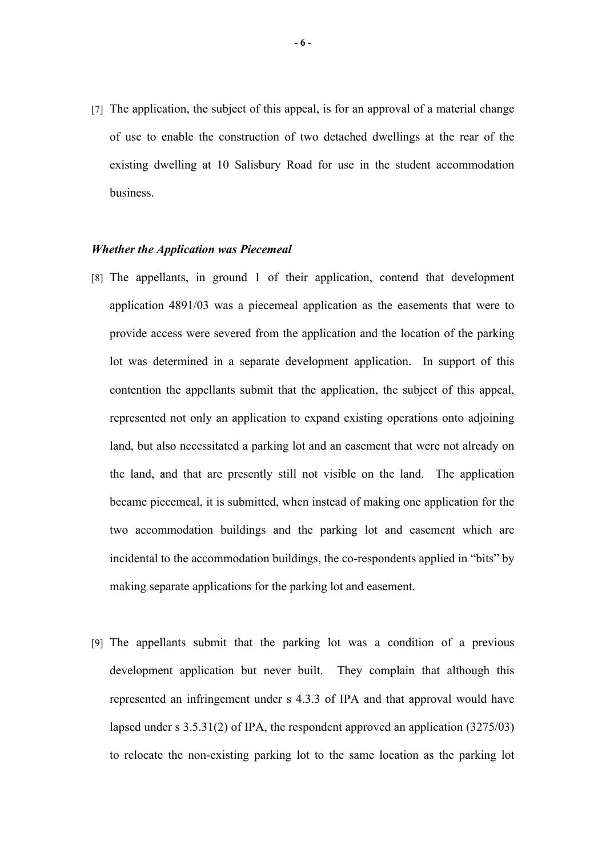[7] The application, the subject of this appeal, is for an approval of a material change of use to enable the construction of two detached dwellings at the rear of the existing dwelling at 10 Salisbury Road for use in the student accommodation business.

#### *Whether the Application was Piecemeal*

- [8] The appellants, in ground 1 of their application, contend that development application 4891/03 was a piecemeal application as the easements that were to provide access were severed from the application and the location of the parking lot was determined in a separate development application. In support of this contention the appellants submit that the application, the subject of this appeal, represented not only an application to expand existing operations onto adjoining land, but also necessitated a parking lot and an easement that were not already on the land, and that are presently still not visible on the land. The application became piecemeal, it is submitted, when instead of making one application for the two accommodation buildings and the parking lot and easement which are incidental to the accommodation buildings, the co-respondents applied in "bits" by making separate applications for the parking lot and easement.
- [9] The appellants submit that the parking lot was a condition of a previous development application but never built. They complain that although this represented an infringement under s 4.3.3 of IPA and that approval would have lapsed under s 3.5.31(2) of IPA, the respondent approved an application (3275/03) to relocate the non-existing parking lot to the same location as the parking lot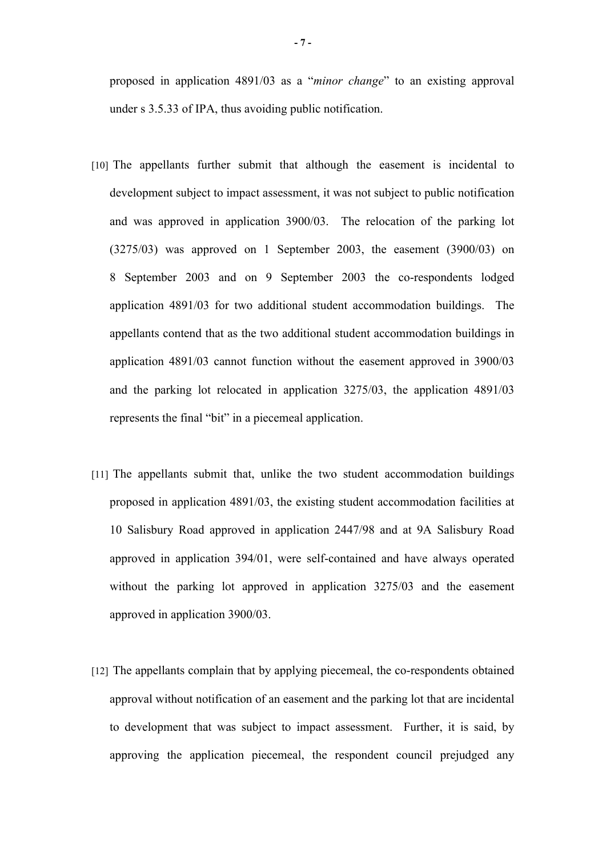proposed in application 4891/03 as a "*minor change*" to an existing approval under s 3.5.33 of IPA, thus avoiding public notification.

- [10] The appellants further submit that although the easement is incidental to development subject to impact assessment, it was not subject to public notification and was approved in application 3900/03. The relocation of the parking lot (3275/03) was approved on 1 September 2003, the easement (3900/03) on 8 September 2003 and on 9 September 2003 the co-respondents lodged application 4891/03 for two additional student accommodation buildings. The appellants contend that as the two additional student accommodation buildings in application 4891/03 cannot function without the easement approved in 3900/03 and the parking lot relocated in application 3275/03, the application 4891/03 represents the final "bit" in a piecemeal application.
- [11] The appellants submit that, unlike the two student accommodation buildings proposed in application 4891/03, the existing student accommodation facilities at 10 Salisbury Road approved in application 2447/98 and at 9A Salisbury Road approved in application 394/01, were self-contained and have always operated without the parking lot approved in application 3275/03 and the easement approved in application 3900/03.
- [12] The appellants complain that by applying piecemeal, the co-respondents obtained approval without notification of an easement and the parking lot that are incidental to development that was subject to impact assessment. Further, it is said, by approving the application piecemeal, the respondent council prejudged any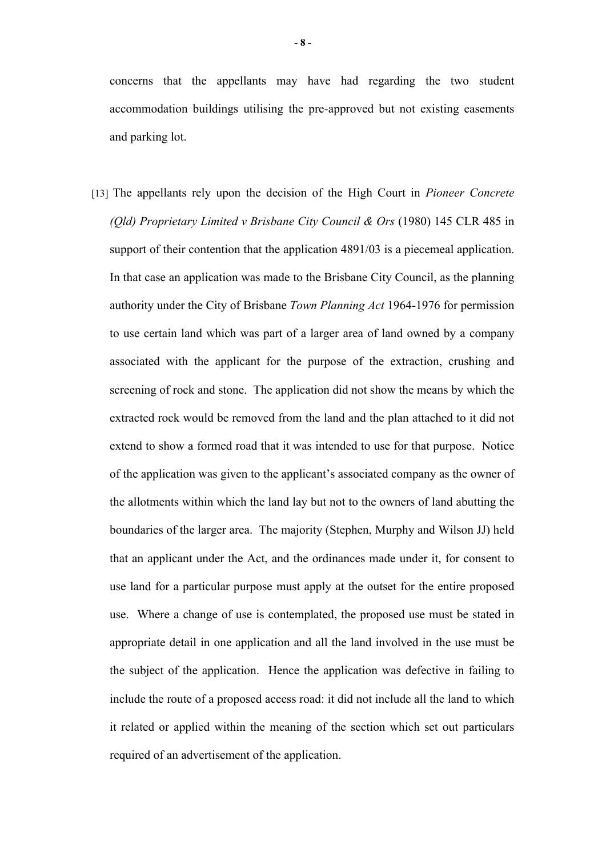concerns that the appellants may have had regarding the two student accommodation buildings utilising the pre-approved but not existing easements and parking lot.

[13] The appellants rely upon the decision of the High Court in *Pioneer Concrete (Qld) Proprietary Limited v Brisbane City Council & Ors* (1980) 145 CLR 485 in support of their contention that the application 4891/03 is a piecemeal application. In that case an application was made to the Brisbane City Council, as the planning authority under the City of Brisbane *Town Planning Act* 1964-1976 for permission to use certain land which was part of a larger area of land owned by a company associated with the applicant for the purpose of the extraction, crushing and screening of rock and stone. The application did not show the means by which the extracted rock would be removed from the land and the plan attached to it did not extend to show a formed road that it was intended to use for that purpose. Notice of the application was given to the applicant's associated company as the owner of the allotments within which the land lay but not to the owners of land abutting the boundaries of the larger area. The majority (Stephen, Murphy and Wilson JJ) held that an applicant under the Act, and the ordinances made under it, for consent to use land for a particular purpose must apply at the outset for the entire proposed use. Where a change of use is contemplated, the proposed use must be stated in appropriate detail in one application and all the land involved in the use must be the subject of the application. Hence the application was defective in failing to include the route of a proposed access road: it did not include all the land to which it related or applied within the meaning of the section which set out particulars required of an advertisement of the application.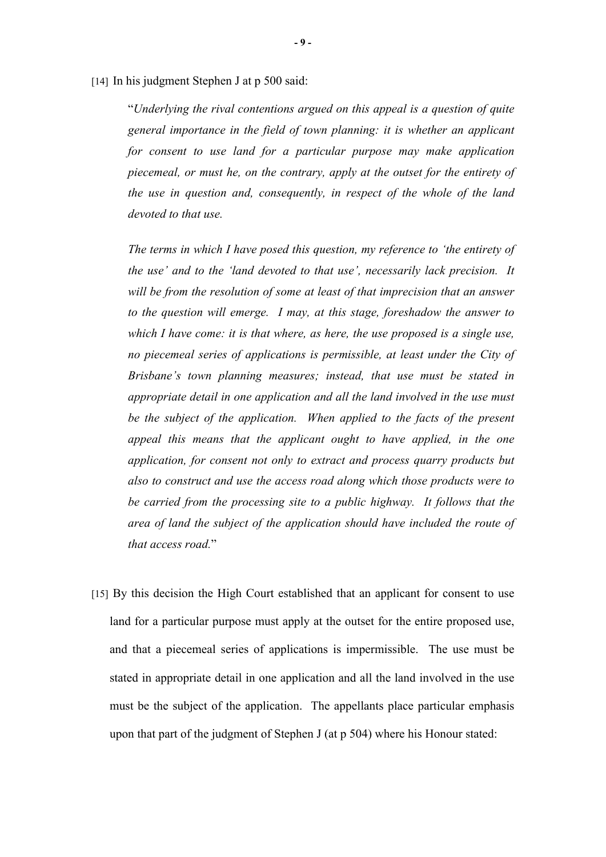[14] In his judgment Stephen J at p 500 said:

"*Underlying the rival contentions argued on this appeal is a question of quite general importance in the field of town planning: it is whether an applicant for consent to use land for a particular purpose may make application piecemeal, or must he, on the contrary, apply at the outset for the entirety of the use in question and, consequently, in respect of the whole of the land devoted to that use.*

*The terms in which I have posed this question, my reference to 'the entirety of the use' and to the 'land devoted to that use', necessarily lack precision. It will be from the resolution of some at least of that imprecision that an answer to the question will emerge. I may, at this stage, foreshadow the answer to which I have come: it is that where, as here, the use proposed is a single use, no piecemeal series of applications is permissible, at least under the City of Brisbane's town planning measures; instead, that use must be stated in appropriate detail in one application and all the land involved in the use must be the subject of the application. When applied to the facts of the present appeal this means that the applicant ought to have applied, in the one application, for consent not only to extract and process quarry products but also to construct and use the access road along which those products were to be carried from the processing site to a public highway. It follows that the area of land the subject of the application should have included the route of that access road.*"

[15] By this decision the High Court established that an applicant for consent to use land for a particular purpose must apply at the outset for the entire proposed use, and that a piecemeal series of applications is impermissible. The use must be stated in appropriate detail in one application and all the land involved in the use must be the subject of the application. The appellants place particular emphasis upon that part of the judgment of Stephen J (at p 504) where his Honour stated: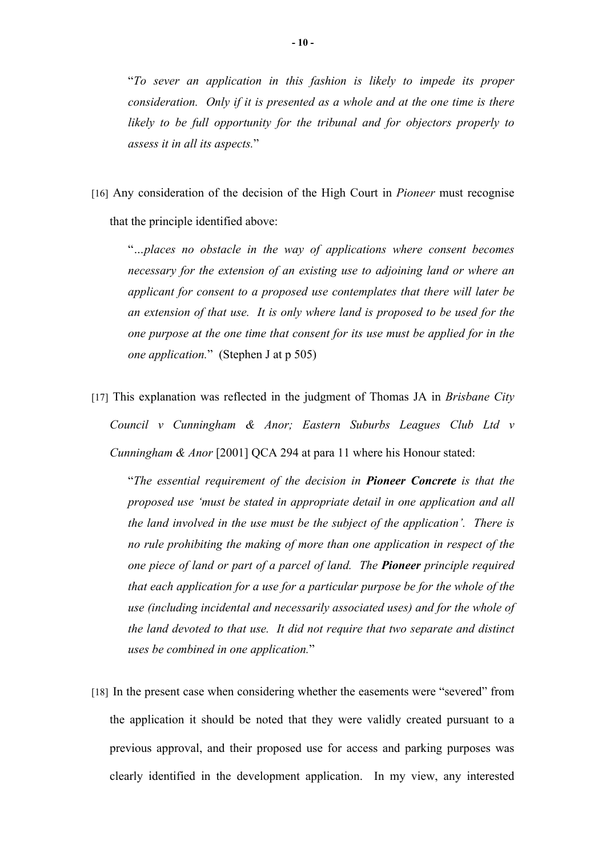"*To sever an application in this fashion is likely to impede its proper consideration. Only if it is presented as a whole and at the one time is there likely to be full opportunity for the tribunal and for objectors properly to assess it in all its aspects.*"

[16] Any consideration of the decision of the High Court in *Pioneer* must recognise that the principle identified above:

"*…places no obstacle in the way of applications where consent becomes necessary for the extension of an existing use to adjoining land or where an applicant for consent to a proposed use contemplates that there will later be an extension of that use. It is only where land is proposed to be used for the one purpose at the one time that consent for its use must be applied for in the one application.*" (Stephen J at p 505)

[17] This explanation was reflected in the judgment of Thomas JA in *Brisbane City Council v Cunningham & Anor; Eastern Suburbs Leagues Club Ltd v Cunningham & Anor* [2001] QCA 294 at para 11 where his Honour stated:

"*The essential requirement of the decision in Pioneer Concrete is that the proposed use 'must be stated in appropriate detail in one application and all the land involved in the use must be the subject of the application'. There is no rule prohibiting the making of more than one application in respect of the one piece of land or part of a parcel of land. The Pioneer principle required that each application for a use for a particular purpose be for the whole of the use (including incidental and necessarily associated uses) and for the whole of the land devoted to that use. It did not require that two separate and distinct uses be combined in one application.*"

[18] In the present case when considering whether the easements were "severed" from the application it should be noted that they were validly created pursuant to a previous approval, and their proposed use for access and parking purposes was clearly identified in the development application. In my view, any interested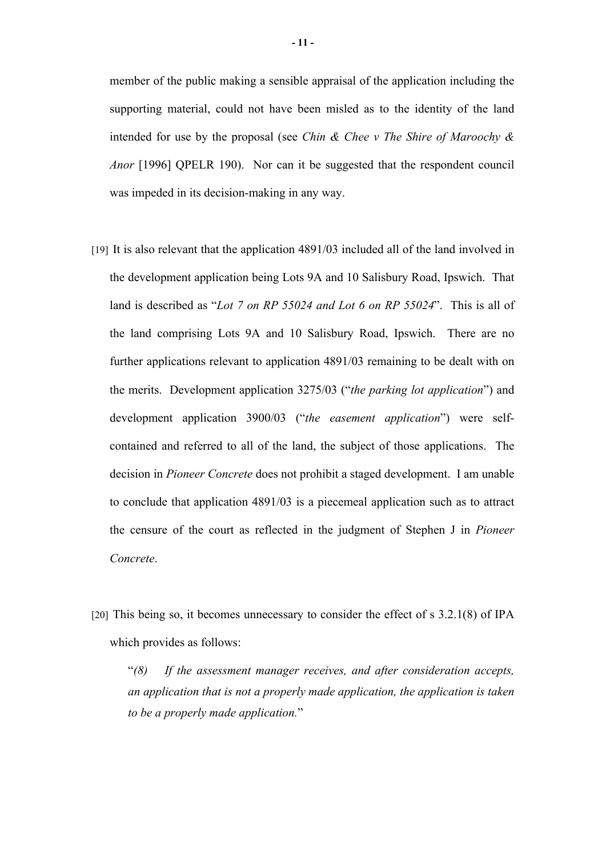member of the public making a sensible appraisal of the application including the supporting material, could not have been misled as to the identity of the land intended for use by the proposal (see *Chin & Chee v The Shire of Maroochy & Anor* [1996] QPELR 190). Nor can it be suggested that the respondent council was impeded in its decision-making in any way.

- [19] It is also relevant that the application 4891/03 included all of the land involved in the development application being Lots 9A and 10 Salisbury Road, Ipswich. That land is described as "*Lot 7 on RP 55024 and Lot 6 on RP 55024*". This is all of the land comprising Lots 9A and 10 Salisbury Road, Ipswich. There are no further applications relevant to application 4891/03 remaining to be dealt with on the merits. Development application 3275/03 ("*the parking lot application*") and development application 3900/03 ("*the easement application*") were selfcontained and referred to all of the land, the subject of those applications. The decision in *Pioneer Concrete* does not prohibit a staged development. I am unable to conclude that application 4891/03 is a piecemeal application such as to attract the censure of the court as reflected in the judgment of Stephen J in *Pioneer Concrete*.
- [20] This being so, it becomes unnecessary to consider the effect of s 3.2.1(8) of IPA which provides as follows:

"*(8) If the assessment manager receives, and after consideration accepts, an application that is not a properly made application, the application is taken to be a properly made application.*"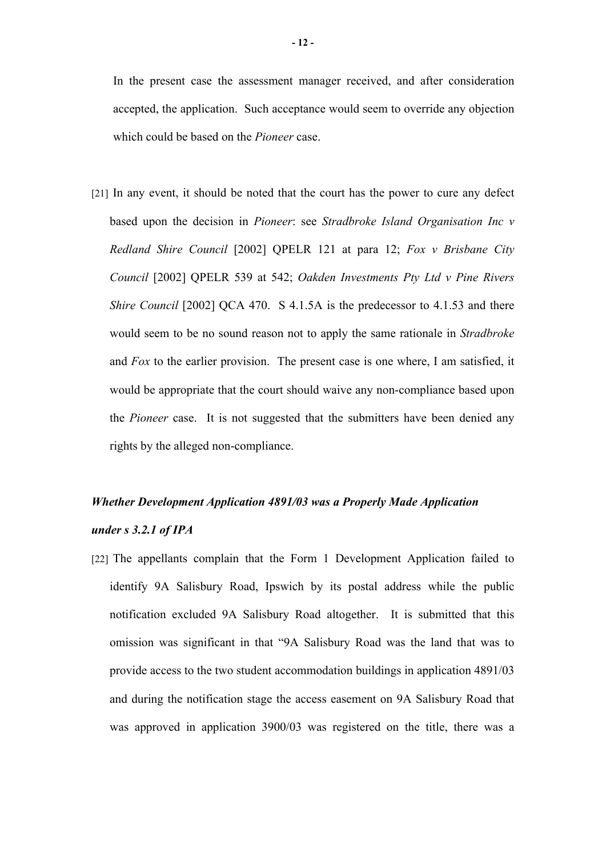In the present case the assessment manager received, and after consideration accepted, the application. Such acceptance would seem to override any objection which could be based on the *Pioneer* case.

[21] In any event, it should be noted that the court has the power to cure any defect based upon the decision in *Pioneer*: see *Stradbroke Island Organisation Inc v Redland Shire Council* [2002] QPELR 121 at para 12; *Fox v Brisbane City Council* [2002] QPELR 539 at 542; *Oakden Investments Pty Ltd v Pine Rivers Shire Council* [2002] QCA 470. S 4.1.5A is the predecessor to 4.1.53 and there would seem to be no sound reason not to apply the same rationale in *Stradbroke* and *Fox* to the earlier provision. The present case is one where, I am satisfied, it would be appropriate that the court should waive any non-compliance based upon the *Pioneer* case. It is not suggested that the submitters have been denied any rights by the alleged non-compliance.

## *Whether Development Application 4891/03 was a Properly Made Application under s 3.2.1 of IPA*

[22] The appellants complain that the Form 1 Development Application failed to identify 9A Salisbury Road, Ipswich by its postal address while the public notification excluded 9A Salisbury Road altogether. It is submitted that this omission was significant in that "9A Salisbury Road was the land that was to provide access to the two student accommodation buildings in application 4891/03 and during the notification stage the access easement on 9A Salisbury Road that was approved in application 3900/03 was registered on the title, there was a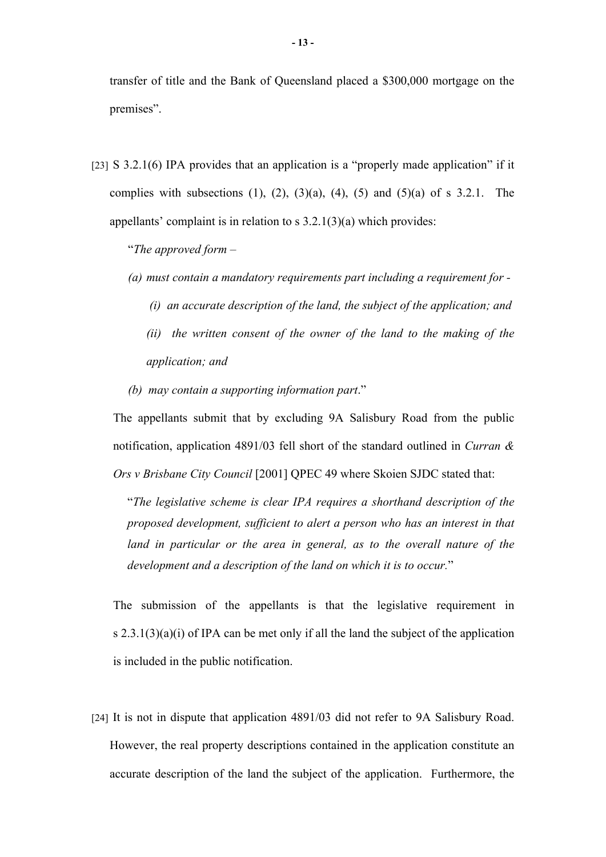transfer of title and the Bank of Queensland placed a \$300,000 mortgage on the premises".

[23] S 3.2.1(6) IPA provides that an application is a "properly made application" if it complies with subsections (1), (2), (3)(a), (4), (5) and (5)(a) of s  $3.2.1$ . The appellants' complaint is in relation to s 3.2.1(3)(a) which provides:

"*The approved form –*

- *(a) must contain a mandatory requirements part including a requirement for -*
	- *(i) an accurate description of the land, the subject of the application; and*
	- *(ii) the written consent of the owner of the land to the making of the application; and*
- *(b) may contain a supporting information part*."

The appellants submit that by excluding 9A Salisbury Road from the public notification, application 4891/03 fell short of the standard outlined in *Curran & Ors v Brisbane City Council* [2001] QPEC 49 where Skoien SJDC stated that:

"*The legislative scheme is clear IPA requires a shorthand description of the proposed development, sufficient to alert a person who has an interest in that*  land in particular or the area in general, as to the overall nature of the *development and a description of the land on which it is to occur.*"

The submission of the appellants is that the legislative requirement in s  $2.3.1(3)(a)(i)$  of IPA can be met only if all the land the subject of the application is included in the public notification.

[24] It is not in dispute that application 4891/03 did not refer to 9A Salisbury Road. However, the real property descriptions contained in the application constitute an accurate description of the land the subject of the application. Furthermore, the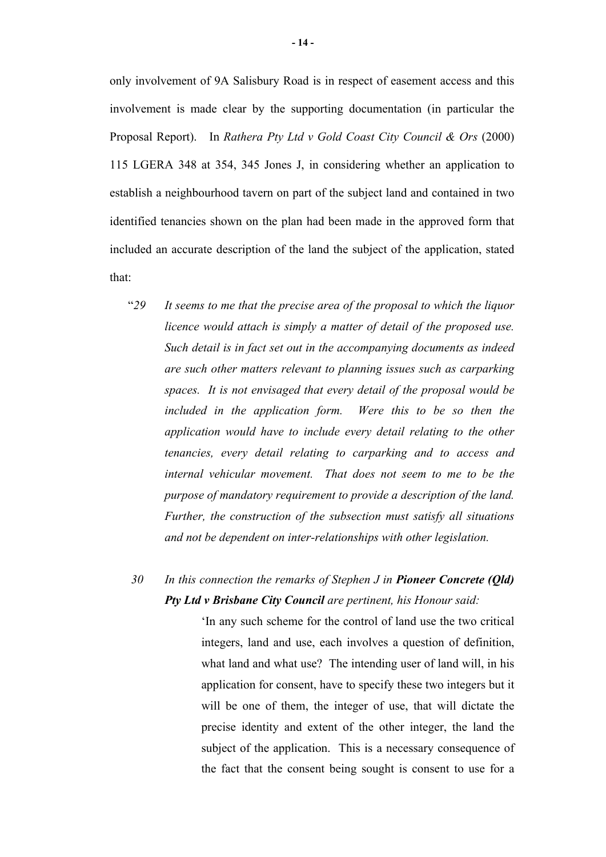only involvement of 9A Salisbury Road is in respect of easement access and this involvement is made clear by the supporting documentation (in particular the Proposal Report). In *Rathera Pty Ltd v Gold Coast City Council & Ors* (2000) 115 LGERA 348 at 354, 345 Jones J, in considering whether an application to establish a neighbourhood tavern on part of the subject land and contained in two identified tenancies shown on the plan had been made in the approved form that included an accurate description of the land the subject of the application, stated that:

"*29 It seems to me that the precise area of the proposal to which the liquor licence would attach is simply a matter of detail of the proposed use. Such detail is in fact set out in the accompanying documents as indeed are such other matters relevant to planning issues such as carparking spaces. It is not envisaged that every detail of the proposal would be*  included in the application form. Were this to be so then the *application would have to include every detail relating to the other tenancies, every detail relating to carparking and to access and internal vehicular movement. That does not seem to me to be the purpose of mandatory requirement to provide a description of the land. Further, the construction of the subsection must satisfy all situations and not be dependent on inter-relationships with other legislation.*

### *30 In this connection the remarks of Stephen J in Pioneer Concrete (Qld) Pty Ltd v Brisbane City Council are pertinent, his Honour said:*

'In any such scheme for the control of land use the two critical integers, land and use, each involves a question of definition, what land and what use? The intending user of land will, in his application for consent, have to specify these two integers but it will be one of them, the integer of use, that will dictate the precise identity and extent of the other integer, the land the subject of the application. This is a necessary consequence of the fact that the consent being sought is consent to use for a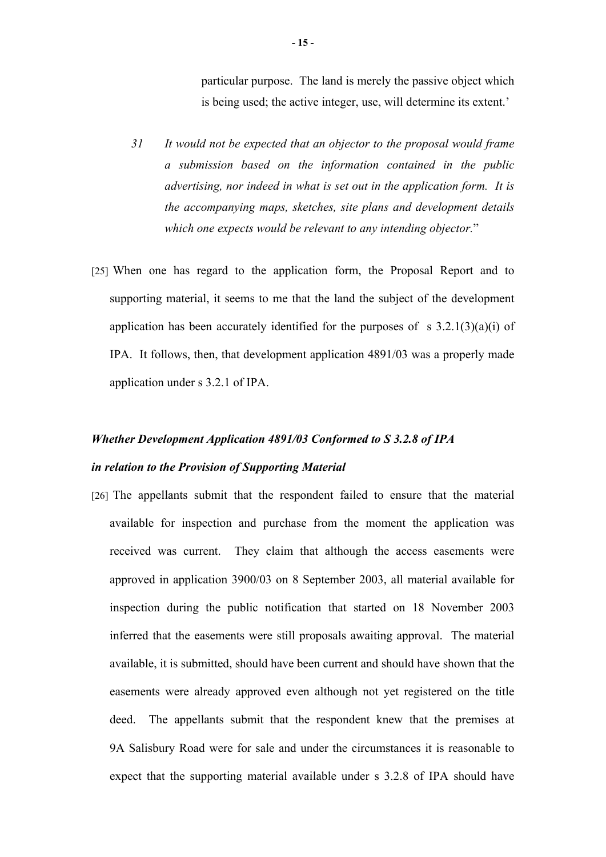particular purpose. The land is merely the passive object which is being used; the active integer, use, will determine its extent.'

- *31 It would not be expected that an objector to the proposal would frame a submission based on the information contained in the public advertising, nor indeed in what is set out in the application form. It is the accompanying maps, sketches, site plans and development details which one expects would be relevant to any intending objector.*"
- [25] When one has regard to the application form, the Proposal Report and to supporting material, it seems to me that the land the subject of the development application has been accurately identified for the purposes of s  $3.2.1(3)(a)(i)$  of IPA. It follows, then, that development application 4891/03 was a properly made application under s 3.2.1 of IPA.

## *Whether Development Application 4891/03 Conformed to S 3.2.8 of IPA in relation to the Provision of Supporting Material*

[26] The appellants submit that the respondent failed to ensure that the material available for inspection and purchase from the moment the application was received was current. They claim that although the access easements were approved in application 3900/03 on 8 September 2003, all material available for inspection during the public notification that started on 18 November 2003 inferred that the easements were still proposals awaiting approval. The material available, it is submitted, should have been current and should have shown that the easements were already approved even although not yet registered on the title deed. The appellants submit that the respondent knew that the premises at 9A Salisbury Road were for sale and under the circumstances it is reasonable to expect that the supporting material available under s 3.2.8 of IPA should have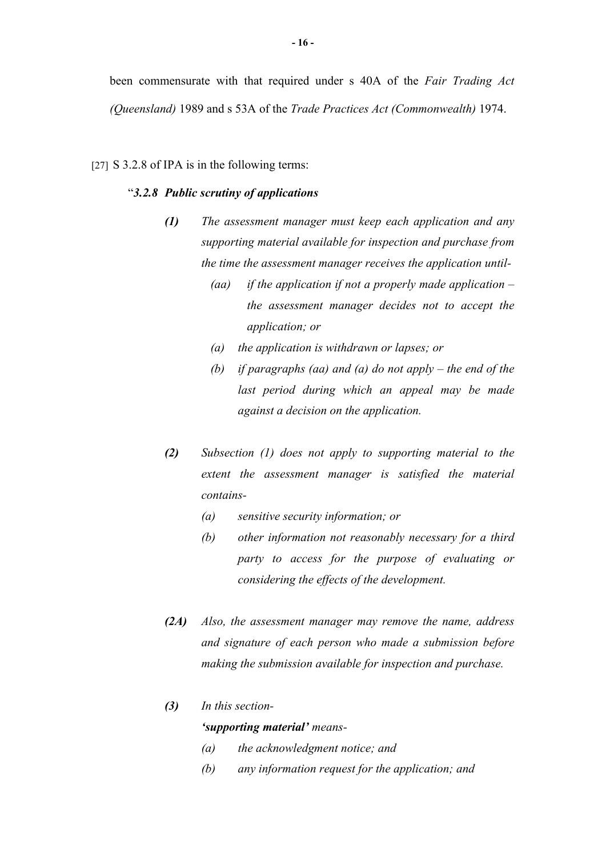been commensurate with that required under s 40A of the *Fair Trading Act (Queensland)* 1989 and s 53A of the *Trade Practices Act (Commonwealth)* 1974.

### [27] S 3.2.8 of IPA is in the following terms:

### "*3.2.8 Public scrutiny of applications*

- *(1) The assessment manager must keep each application and any supporting material available for inspection and purchase from the time the assessment manager receives the application until-*
	- *(aa) if the application if not a properly made application the assessment manager decides not to accept the application; or*
	- *(a) the application is withdrawn or lapses; or*
	- *(b) if paragraphs (aa) and (a) do not apply the end of the last period during which an appeal may be made against a decision on the application.*
- *(2) Subsection (1) does not apply to supporting material to the extent the assessment manager is satisfied the material contains-*
	- *(a) sensitive security information; or*
	- *(b) other information not reasonably necessary for a third party to access for the purpose of evaluating or considering the effects of the development.*
- *(2A) Also, the assessment manager may remove the name, address and signature of each person who made a submission before making the submission available for inspection and purchase.*

### *(3) In this section- 'supporting material' means-*

- *(a) the acknowledgment notice; and*
- *(b) any information request for the application; and*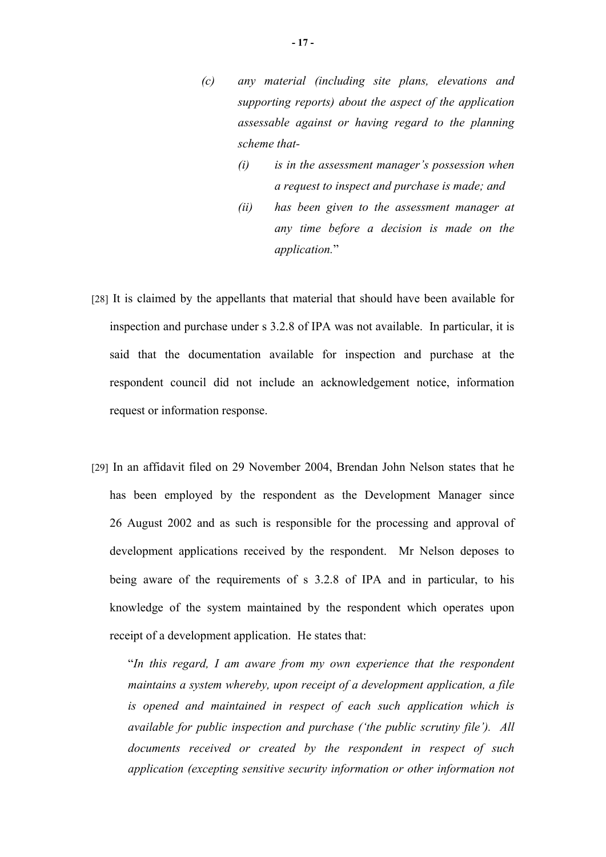- *(c) any material (including site plans, elevations and supporting reports) about the aspect of the application assessable against or having regard to the planning scheme that-*
	- *(i) is in the assessment manager's possession when a request to inspect and purchase is made; and*
	- *(ii) has been given to the assessment manager at any time before a decision is made on the application.*"
- [28] It is claimed by the appellants that material that should have been available for inspection and purchase under s 3.2.8 of IPA was not available. In particular, it is said that the documentation available for inspection and purchase at the respondent council did not include an acknowledgement notice, information request or information response.
- [29] In an affidavit filed on 29 November 2004, Brendan John Nelson states that he has been employed by the respondent as the Development Manager since 26 August 2002 and as such is responsible for the processing and approval of development applications received by the respondent. Mr Nelson deposes to being aware of the requirements of s 3.2.8 of IPA and in particular, to his knowledge of the system maintained by the respondent which operates upon receipt of a development application. He states that:

"*In this regard, I am aware from my own experience that the respondent maintains a system whereby, upon receipt of a development application, a file is opened and maintained in respect of each such application which is available for public inspection and purchase ('the public scrutiny file'). All documents received or created by the respondent in respect of such application (excepting sensitive security information or other information not*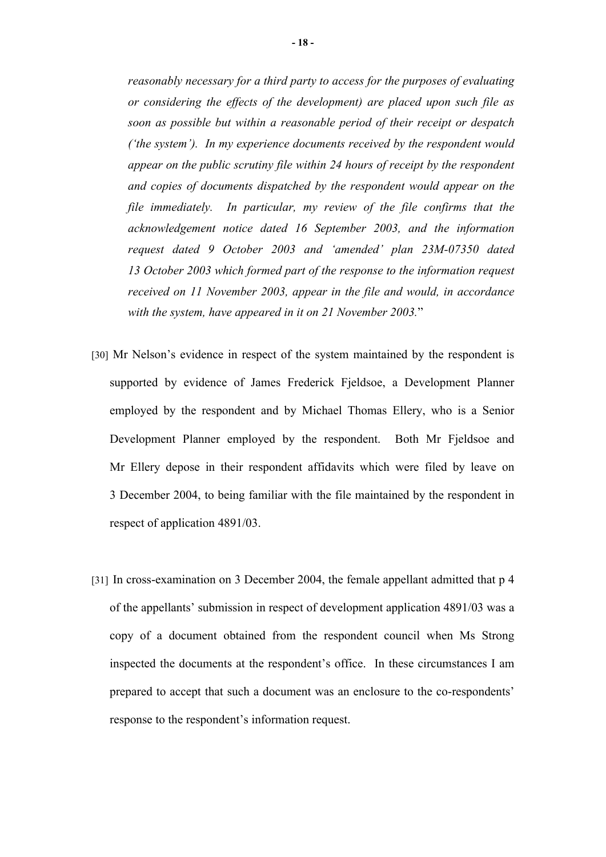*reasonably necessary for a third party to access for the purposes of evaluating or considering the effects of the development) are placed upon such file as soon as possible but within a reasonable period of their receipt or despatch ('the system'). In my experience documents received by the respondent would appear on the public scrutiny file within 24 hours of receipt by the respondent and copies of documents dispatched by the respondent would appear on the file immediately. In particular, my review of the file confirms that the acknowledgement notice dated 16 September 2003, and the information request dated 9 October 2003 and 'amended' plan 23M-07350 dated 13 October 2003 which formed part of the response to the information request received on 11 November 2003, appear in the file and would, in accordance with the system, have appeared in it on 21 November 2003.*"

- [30] Mr Nelson's evidence in respect of the system maintained by the respondent is supported by evidence of James Frederick Fjeldsoe, a Development Planner employed by the respondent and by Michael Thomas Ellery, who is a Senior Development Planner employed by the respondent. Both Mr Fjeldsoe and Mr Ellery depose in their respondent affidavits which were filed by leave on 3 December 2004, to being familiar with the file maintained by the respondent in respect of application 4891/03.
- [31] In cross-examination on 3 December 2004, the female appellant admitted that p 4 of the appellants' submission in respect of development application 4891/03 was a copy of a document obtained from the respondent council when Ms Strong inspected the documents at the respondent's office. In these circumstances I am prepared to accept that such a document was an enclosure to the co-respondents' response to the respondent's information request.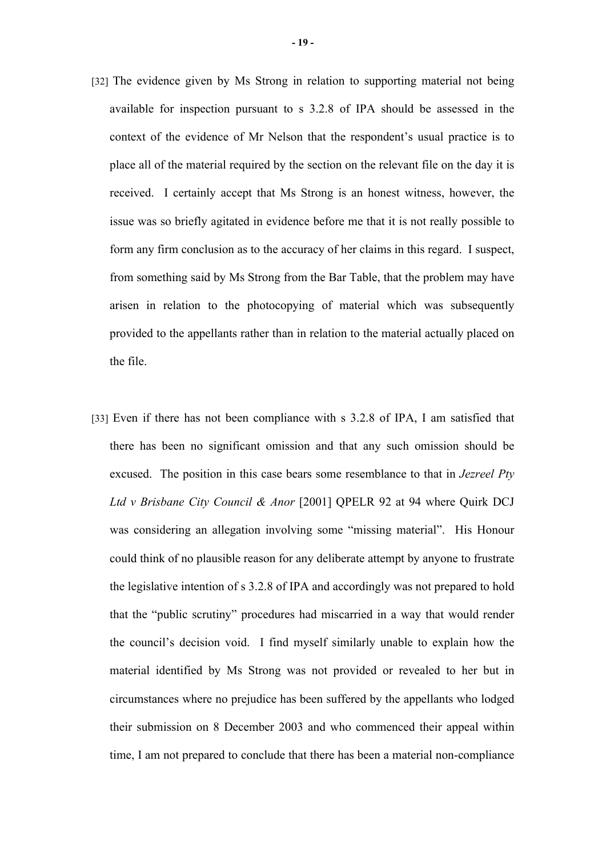- [32] The evidence given by Ms Strong in relation to supporting material not being available for inspection pursuant to s 3.2.8 of IPA should be assessed in the context of the evidence of Mr Nelson that the respondent's usual practice is to place all of the material required by the section on the relevant file on the day it is received. I certainly accept that Ms Strong is an honest witness, however, the issue was so briefly agitated in evidence before me that it is not really possible to form any firm conclusion as to the accuracy of her claims in this regard. I suspect, from something said by Ms Strong from the Bar Table, that the problem may have arisen in relation to the photocopying of material which was subsequently provided to the appellants rather than in relation to the material actually placed on the file.
- [33] Even if there has not been compliance with s 3.2.8 of IPA, I am satisfied that there has been no significant omission and that any such omission should be excused. The position in this case bears some resemblance to that in *Jezreel Pty Ltd v Brisbane City Council & Anor* [2001] QPELR 92 at 94 where Quirk DCJ was considering an allegation involving some "missing material". His Honour could think of no plausible reason for any deliberate attempt by anyone to frustrate the legislative intention of s 3.2.8 of IPA and accordingly was not prepared to hold that the "public scrutiny" procedures had miscarried in a way that would render the council's decision void. I find myself similarly unable to explain how the material identified by Ms Strong was not provided or revealed to her but in circumstances where no prejudice has been suffered by the appellants who lodged their submission on 8 December 2003 and who commenced their appeal within time, I am not prepared to conclude that there has been a material non-compliance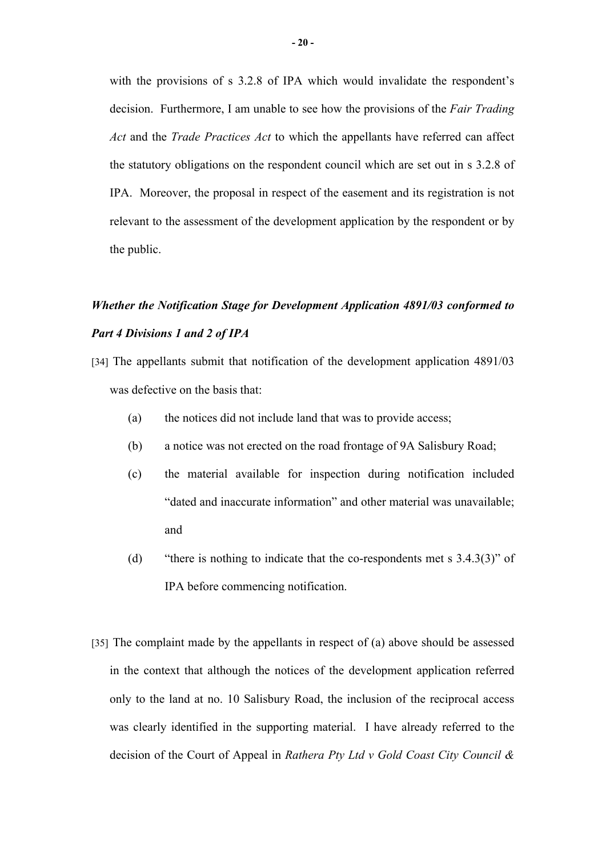with the provisions of s 3.2.8 of IPA which would invalidate the respondent's decision. Furthermore, I am unable to see how the provisions of the *Fair Trading Act* and the *Trade Practices Act* to which the appellants have referred can affect the statutory obligations on the respondent council which are set out in s 3.2.8 of IPA. Moreover, the proposal in respect of the easement and its registration is not relevant to the assessment of the development application by the respondent or by the public.

## *Whether the Notification Stage for Development Application 4891/03 conformed to Part 4 Divisions 1 and 2 of IPA*

- [34] The appellants submit that notification of the development application 4891/03 was defective on the basis that:
	- (a) the notices did not include land that was to provide access;
	- (b) a notice was not erected on the road frontage of 9A Salisbury Road;
	- (c) the material available for inspection during notification included "dated and inaccurate information" and other material was unavailable; and
	- (d) "there is nothing to indicate that the co-respondents met s 3.4.3(3)" of IPA before commencing notification.
- [35] The complaint made by the appellants in respect of (a) above should be assessed in the context that although the notices of the development application referred only to the land at no. 10 Salisbury Road, the inclusion of the reciprocal access was clearly identified in the supporting material. I have already referred to the decision of the Court of Appeal in *Rathera Pty Ltd v Gold Coast City Council &*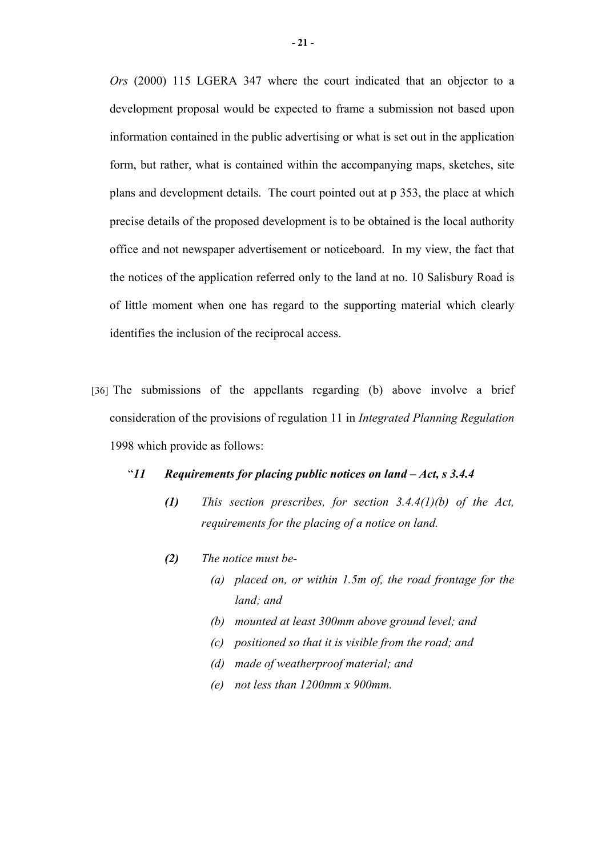*Ors* (2000) 115 LGERA 347 where the court indicated that an objector to a development proposal would be expected to frame a submission not based upon information contained in the public advertising or what is set out in the application form, but rather, what is contained within the accompanying maps, sketches, site plans and development details. The court pointed out at p 353, the place at which precise details of the proposed development is to be obtained is the local authority office and not newspaper advertisement or noticeboard. In my view, the fact that the notices of the application referred only to the land at no. 10 Salisbury Road is of little moment when one has regard to the supporting material which clearly identifies the inclusion of the reciprocal access.

- [36] The submissions of the appellants regarding (b) above involve a brief consideration of the provisions of regulation 11 in *Integrated Planning Regulation* 1998 which provide as follows:
	- "*11 Requirements for placing public notices on land Act, s 3.4.4*
		- *(1) This section prescribes, for section 3.4.4(1)(b) of the Act, requirements for the placing of a notice on land.*
		- *(2) The notice must be-*
			- *(a) placed on, or within 1.5m of, the road frontage for the land; and*
			- *(b) mounted at least 300mm above ground level; and*
			- *(c) positioned so that it is visible from the road; and*
			- *(d) made of weatherproof material; and*
			- *(e) not less than 1200mm x 900mm.*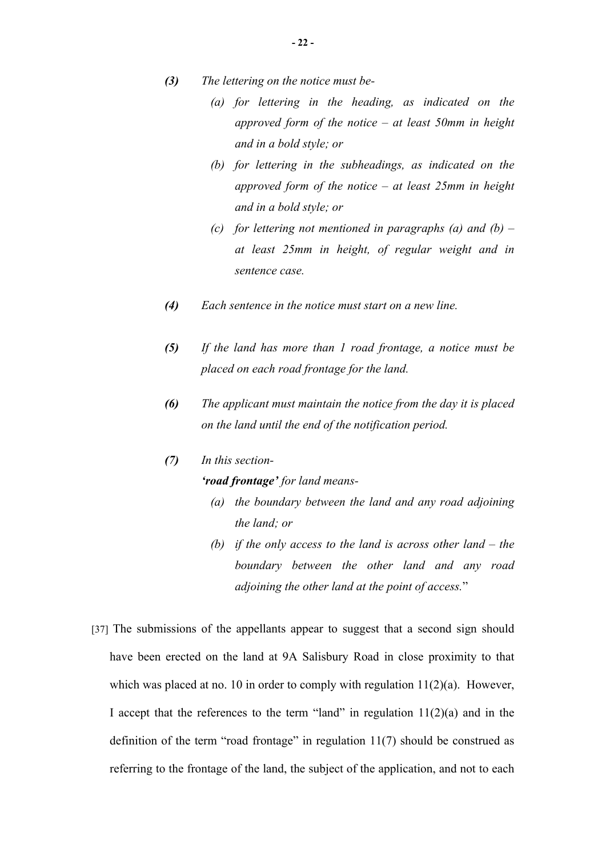- *(3) The lettering on the notice must be-*
	- *(a) for lettering in the heading, as indicated on the approved form of the notice – at least 50mm in height and in a bold style; or*
	- *(b) for lettering in the subheadings, as indicated on the approved form of the notice – at least 25mm in height and in a bold style; or*
	- *(c) for lettering not mentioned in paragraphs (a) and (b) at least 25mm in height, of regular weight and in sentence case.*
- *(4) Each sentence in the notice must start on a new line.*
- *(5) If the land has more than 1 road frontage, a notice must be placed on each road frontage for the land.*
- *(6) The applicant must maintain the notice from the day it is placed on the land until the end of the notification period.*

### *(7) In this section-*

### *'road frontage' for land means-*

- *(a) the boundary between the land and any road adjoining the land; or*
- *(b) if the only access to the land is across other land the boundary between the other land and any road adjoining the other land at the point of access.*"
- [37] The submissions of the appellants appear to suggest that a second sign should have been erected on the land at 9A Salisbury Road in close proximity to that which was placed at no. 10 in order to comply with regulation  $11(2)(a)$ . However, I accept that the references to the term "land" in regulation  $11(2)(a)$  and in the definition of the term "road frontage" in regulation 11(7) should be construed as referring to the frontage of the land, the subject of the application, and not to each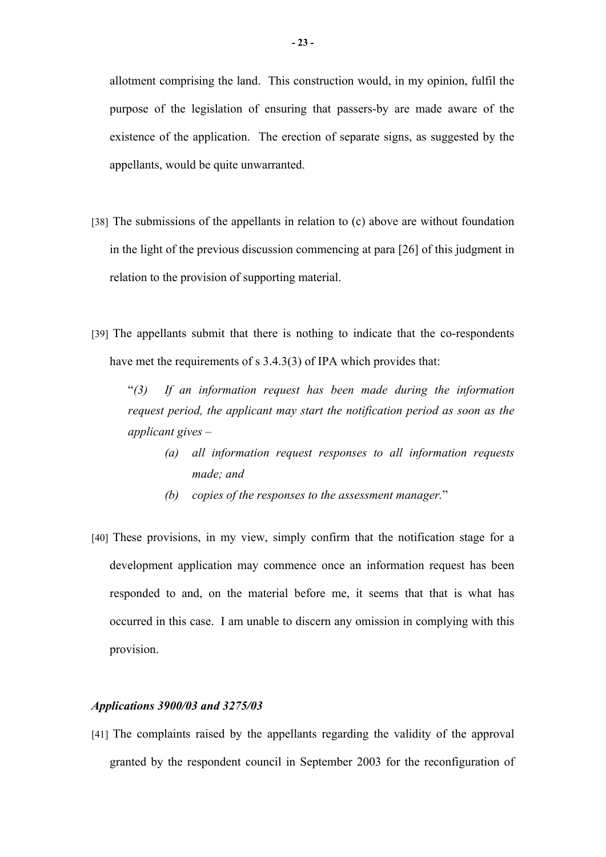allotment comprising the land. This construction would, in my opinion, fulfil the purpose of the legislation of ensuring that passers-by are made aware of the existence of the application. The erection of separate signs, as suggested by the appellants, would be quite unwarranted.

- [38] The submissions of the appellants in relation to (c) above are without foundation in the light of the previous discussion commencing at para [26] of this judgment in relation to the provision of supporting material.
- [39] The appellants submit that there is nothing to indicate that the co-respondents have met the requirements of s 3.4.3(3) of IPA which provides that:

"*(3) If an information request has been made during the information request period, the applicant may start the notification period as soon as the applicant gives –* 

- *(a) all information request responses to all information requests made; and*
- *(b) copies of the responses to the assessment manager.*"
- [40] These provisions, in my view, simply confirm that the notification stage for a development application may commence once an information request has been responded to and, on the material before me, it seems that that is what has occurred in this case. I am unable to discern any omission in complying with this provision.

### *Applications 3900/03 and 3275/03*

[41] The complaints raised by the appellants regarding the validity of the approval granted by the respondent council in September 2003 for the reconfiguration of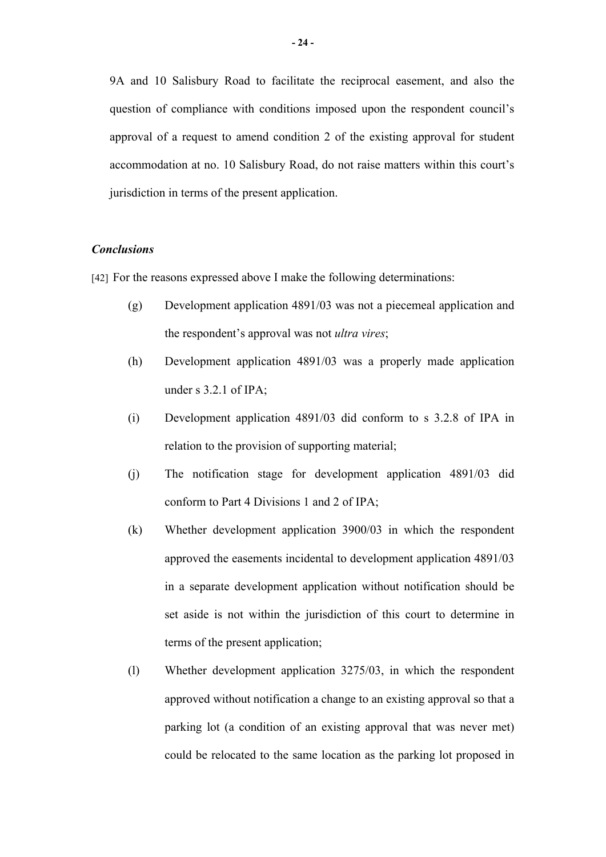9A and 10 Salisbury Road to facilitate the reciprocal easement, and also the question of compliance with conditions imposed upon the respondent council's approval of a request to amend condition 2 of the existing approval for student accommodation at no. 10 Salisbury Road, do not raise matters within this court's jurisdiction in terms of the present application.

### *Conclusions*

[42] For the reasons expressed above I make the following determinations:

- (g) Development application 4891/03 was not a piecemeal application and the respondent's approval was not *ultra vires*;
- (h) Development application 4891/03 was a properly made application under s 3.2.1 of IPA;
- (i) Development application 4891/03 did conform to s 3.2.8 of IPA in relation to the provision of supporting material;
- (j) The notification stage for development application 4891/03 did conform to Part 4 Divisions 1 and 2 of IPA;
- (k) Whether development application 3900/03 in which the respondent approved the easements incidental to development application 4891/03 in a separate development application without notification should be set aside is not within the jurisdiction of this court to determine in terms of the present application;
- (l) Whether development application 3275/03, in which the respondent approved without notification a change to an existing approval so that a parking lot (a condition of an existing approval that was never met) could be relocated to the same location as the parking lot proposed in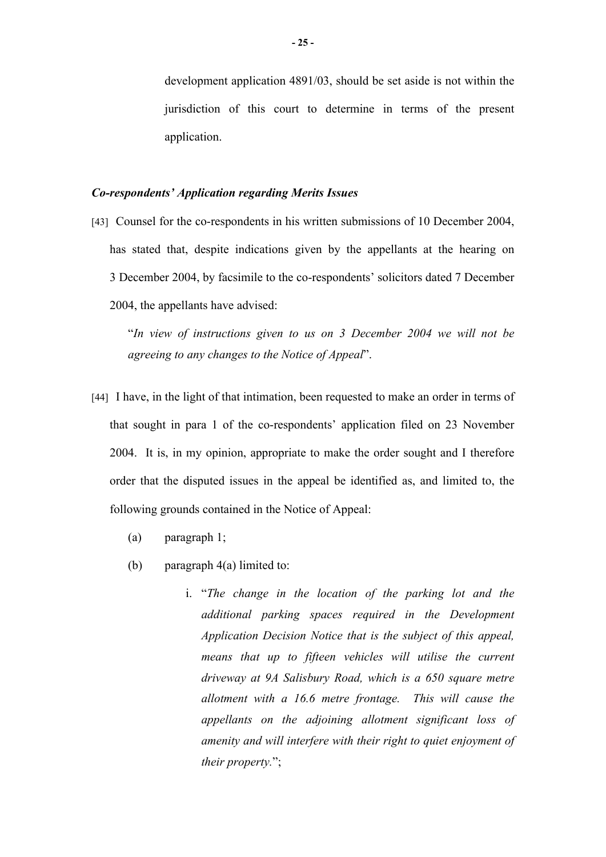development application 4891/03, should be set aside is not within the jurisdiction of this court to determine in terms of the present application.

### *Co-respondents' Application regarding Merits Issues*

[43] Counsel for the co-respondents in his written submissions of 10 December 2004, has stated that, despite indications given by the appellants at the hearing on 3 December 2004, by facsimile to the co-respondents' solicitors dated 7 December 2004, the appellants have advised:

"*In view of instructions given to us on 3 December 2004 we will not be agreeing to any changes to the Notice of Appeal*".

- [44] I have, in the light of that intimation, been requested to make an order in terms of that sought in para 1 of the co-respondents' application filed on 23 November 2004. It is, in my opinion, appropriate to make the order sought and I therefore order that the disputed issues in the appeal be identified as, and limited to, the following grounds contained in the Notice of Appeal:
	- (a) paragraph 1;
	- (b) paragraph 4(a) limited to:
		- i. "*The change in the location of the parking lot and the additional parking spaces required in the Development Application Decision Notice that is the subject of this appeal, means that up to fifteen vehicles will utilise the current driveway at 9A Salisbury Road, which is a 650 square metre allotment with a 16.6 metre frontage. This will cause the appellants on the adjoining allotment significant loss of amenity and will interfere with their right to quiet enjoyment of their property.*";